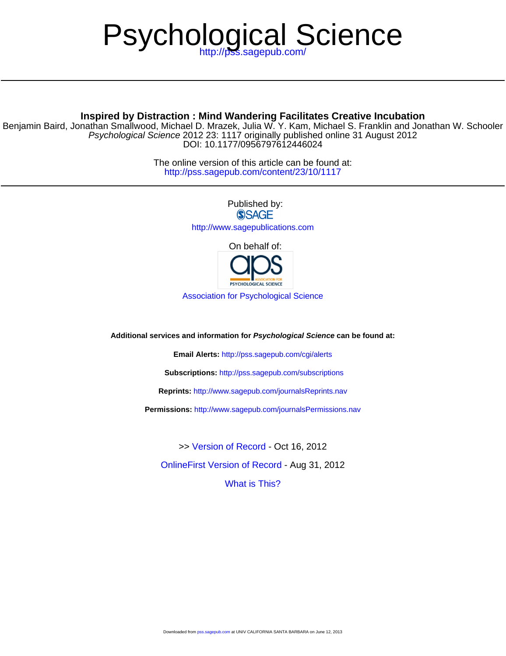# Psychological Science

# **Inspired by Distraction : Mind Wandering Facilitates Creative Incubation**

DOI: 10.1177/0956797612446024 Psychological Science 2012 23: 1117 originally published online 31 August 2012 Benjamin Baird, Jonathan Smallwood, Michael D. Mrazek, Julia W. Y. Kam, Michael S. Franklin and Jonathan W. Schooler

> <http://pss.sagepub.com/content/23/10/1117> The online version of this article can be found at:

> > Published by:<br>
> > SAGE <http://www.sagepublications.com> On behalf of:

PSYCHOLOGICAL SCIENCE

[Association for Psychological Science](http://www.psychologicalscience.org/)

**Additional services and information for Psychological Science can be found at:**

**Email Alerts:** <http://pss.sagepub.com/cgi/alerts>

**Subscriptions:** <http://pss.sagepub.com/subscriptions>

**Reprints:** <http://www.sagepub.com/journalsReprints.nav>

**Permissions:** <http://www.sagepub.com/journalsPermissions.nav>

[OnlineFirst Version of Record -](http://pss.sagepub.com/content/early/2012/08/31/0956797612446024.full.pdf) Aug 31, 2012 >> [Version of Record -](http://pss.sagepub.com/content/23/10/1117.full.pdf) Oct 16, 2012

[What is This?](http://online.sagepub.com/site/sphelp/vorhelp.xhtml)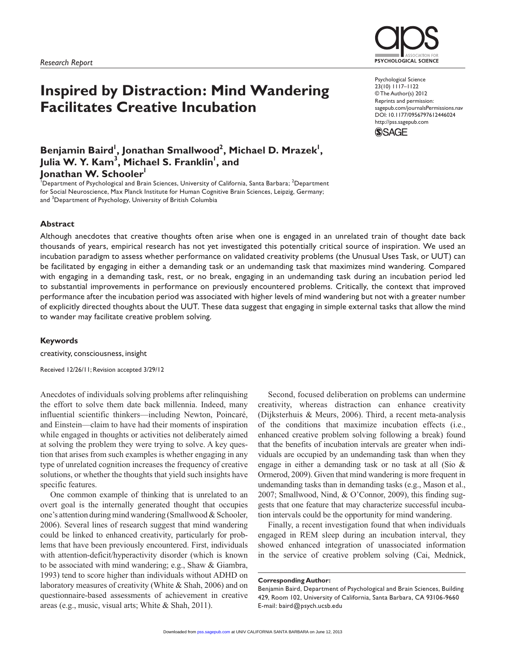# **Inspired by Distraction: Mind Wandering Facilitates Creative Incubation**



Psychological Science 23(10) 1117–1122 © The Author(s) 2012 Reprints and permission: sagepub.com/journalsPermissions.nav DOI: 10.1177/0956797612446024 http://pss.sagepub.com



# Benjamin Baird<sup>I</sup>, Jonathan Smallwood<sup>2</sup>, Michael D. Mrazek<sup>I</sup>, Julia W. Y. Kam<sup>3</sup>, Michael S. Franklin<sup>I</sup>, and Jonathan W. Schooler<sup>1</sup>

<sup>1</sup>Department of Psychological and Brain Sciences, University of California, Santa Barbara; <sup>2</sup>Department for Social Neuroscience, Max Planck Institute for Human Cognitive Brain Sciences, Leipzig, Germany; and <sup>3</sup>Department of Psychology, University of British Columbia

#### **Abstract**

Although anecdotes that creative thoughts often arise when one is engaged in an unrelated train of thought date back thousands of years, empirical research has not yet investigated this potentially critical source of inspiration. We used an incubation paradigm to assess whether performance on validated creativity problems (the Unusual Uses Task, or UUT) can be facilitated by engaging in either a demanding task or an undemanding task that maximizes mind wandering. Compared with engaging in a demanding task, rest, or no break, engaging in an undemanding task during an incubation period led to substantial improvements in performance on previously encountered problems. Critically, the context that improved performance after the incubation period was associated with higher levels of mind wandering but not with a greater number of explicitly directed thoughts about the UUT. These data suggest that engaging in simple external tasks that allow the mind to wander may facilitate creative problem solving.

#### **Keywords**

creativity, consciousness, insight

Received 12/26/11; Revision accepted 3/29/12

Anecdotes of individuals solving problems after relinquishing the effort to solve them date back millennia. Indeed, many influential scientific thinkers—including Newton, Poincaré, and Einstein—claim to have had their moments of inspiration while engaged in thoughts or activities not deliberately aimed at solving the problem they were trying to solve. A key question that arises from such examples is whether engaging in any type of unrelated cognition increases the frequency of creative solutions, or whether the thoughts that yield such insights have specific features.

One common example of thinking that is unrelated to an overt goal is the internally generated thought that occupies one's attention during mind wandering (Smallwood & Schooler, 2006). Several lines of research suggest that mind wandering could be linked to enhanced creativity, particularly for problems that have been previously encountered. First, individuals with attention-deficit/hyperactivity disorder (which is known to be associated with mind wandering; e.g., Shaw & Giambra, 1993) tend to score higher than individuals without ADHD on laboratory measures of creativity (White & Shah, 2006) and on questionnaire-based assessments of achievement in creative areas (e.g., music, visual arts; White & Shah, 2011).

Second, focused deliberation on problems can undermine creativity, whereas distraction can enhance creativity (Dijksterhuis & Meurs, 2006). Third, a recent meta-analysis of the conditions that maximize incubation effects (i.e., enhanced creative problem solving following a break) found that the benefits of incubation intervals are greater when individuals are occupied by an undemanding task than when they engage in either a demanding task or no task at all (Sio & Ormerod, 2009). Given that mind wandering is more frequent in undemanding tasks than in demanding tasks (e.g., Mason et al., 2007; Smallwood, Nind, & O'Connor, 2009), this finding suggests that one feature that may characterize successful incubation intervals could be the opportunity for mind wandering.

Finally, a recent investigation found that when individuals engaged in REM sleep during an incubation interval, they showed enhanced integration of unassociated information in the service of creative problem solving (Cai, Mednick,

**Corresponding Author:**

Benjamin Baird, Department of Psychological and Brain Sciences, Building 429, Room 102, University of California, Santa Barbara, CA 93106-9660 E-mail: baird@psych.ucsb.edu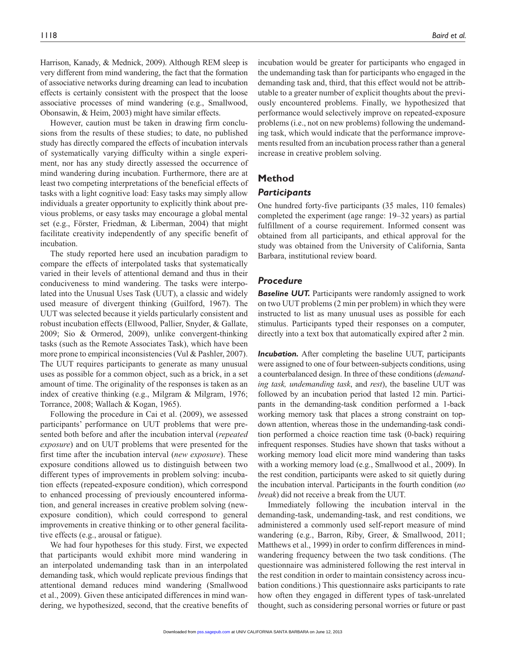Harrison, Kanady, & Mednick, 2009). Although REM sleep is very different from mind wandering, the fact that the formation of associative networks during dreaming can lead to incubation effects is certainly consistent with the prospect that the loose associative processes of mind wandering (e.g., Smallwood, Obonsawin, & Heim, 2003) might have similar effects.

However, caution must be taken in drawing firm conclusions from the results of these studies; to date, no published study has directly compared the effects of incubation intervals of systematically varying difficulty within a single experiment, nor has any study directly assessed the occurrence of mind wandering during incubation. Furthermore, there are at least two competing interpretations of the beneficial effects of tasks with a light cognitive load: Easy tasks may simply allow individuals a greater opportunity to explicitly think about previous problems, or easy tasks may encourage a global mental set (e.g., Förster, Friedman, & Liberman, 2004) that might facilitate creativity independently of any specific benefit of incubation.

The study reported here used an incubation paradigm to compare the effects of interpolated tasks that systematically varied in their levels of attentional demand and thus in their conduciveness to mind wandering. The tasks were interpolated into the Unusual Uses Task (UUT), a classic and widely used measure of divergent thinking (Guilford, 1967). The UUT was selected because it yields particularly consistent and robust incubation effects (Ellwood, Pallier, Snyder, & Gallate, 2009; Sio & Ormerod, 2009), unlike convergent-thinking tasks (such as the Remote Associates Task), which have been more prone to empirical inconsistencies (Vul & Pashler, 2007). The UUT requires participants to generate as many unusual uses as possible for a common object, such as a brick, in a set amount of time. The originality of the responses is taken as an index of creative thinking (e.g., Milgram & Milgram, 1976; Torrance, 2008; Wallach & Kogan, 1965).

Following the procedure in Cai et al. (2009), we assessed participants' performance on UUT problems that were presented both before and after the incubation interval (*repeated exposure*) and on UUT problems that were presented for the first time after the incubation interval (*new exposure*). These exposure conditions allowed us to distinguish between two different types of improvements in problem solving: incubation effects (repeated-exposure condition), which correspond to enhanced processing of previously encountered information, and general increases in creative problem solving (newexposure condition), which could correspond to general improvements in creative thinking or to other general facilitative effects (e.g., arousal or fatigue).

We had four hypotheses for this study. First, we expected that participants would exhibit more mind wandering in an interpolated undemanding task than in an interpolated demanding task, which would replicate previous findings that attentional demand reduces mind wandering (Smallwood et al., 2009). Given these anticipated differences in mind wandering, we hypothesized, second, that the creative benefits of incubation would be greater for participants who engaged in the undemanding task than for participants who engaged in the demanding task and, third, that this effect would not be attributable to a greater number of explicit thoughts about the previously encountered problems. Finally, we hypothesized that performance would selectively improve on repeated-exposure problems (i.e., not on new problems) following the undemanding task, which would indicate that the performance improvements resulted from an incubation process rather than a general increase in creative problem solving.

### **Method**

#### *Participants*

One hundred forty-five participants (35 males, 110 females) completed the experiment (age range: 19–32 years) as partial fulfillment of a course requirement. Informed consent was obtained from all participants, and ethical approval for the study was obtained from the University of California, Santa Barbara, institutional review board.

#### *Procedure*

**Baseline UUT.** Participants were randomly assigned to work on two UUT problems (2 min per problem) in which they were instructed to list as many unusual uses as possible for each stimulus. Participants typed their responses on a computer, directly into a text box that automatically expired after 2 min.

**Incubation.** After completing the baseline UUT, participants were assigned to one of four between-subjects conditions, using a counterbalanced design. In three of these conditions (*demanding task, undemanding task*, and *rest*), the baseline UUT was followed by an incubation period that lasted 12 min. Participants in the demanding-task condition performed a 1-back working memory task that places a strong constraint on topdown attention, whereas those in the undemanding-task condition performed a choice reaction time task (0-back) requiring infrequent responses. Studies have shown that tasks without a working memory load elicit more mind wandering than tasks with a working memory load (e.g., Smallwood et al., 2009). In the rest condition, participants were asked to sit quietly during the incubation interval. Participants in the fourth condition (*no break*) did not receive a break from the UUT.

Immediately following the incubation interval in the demanding-task, undemanding-task, and rest conditions, we administered a commonly used self-report measure of mind wandering (e.g., Barron, Riby, Greer, & Smallwood, 2011; Matthews et al., 1999) in order to confirm differences in mindwandering frequency between the two task conditions. (The questionnaire was administered following the rest interval in the rest condition in order to maintain consistency across incubation conditions.) This questionnaire asks participants to rate how often they engaged in different types of task-unrelated thought, such as considering personal worries or future or past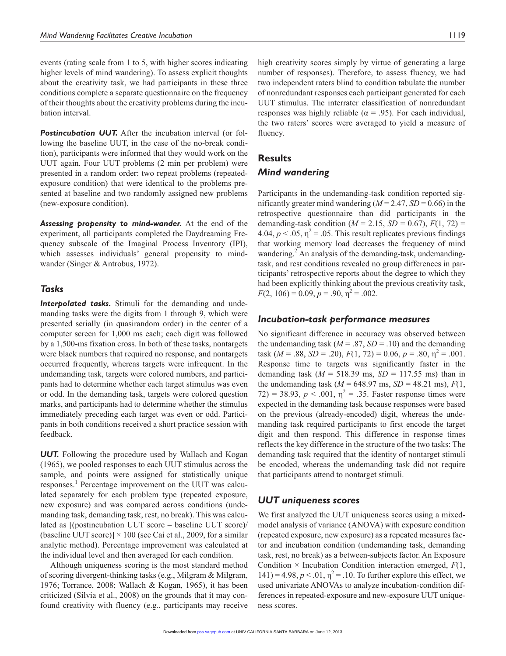events (rating scale from 1 to 5, with higher scores indicating higher levels of mind wandering). To assess explicit thoughts about the creativity task, we had participants in these three conditions complete a separate questionnaire on the frequency of their thoughts about the creativity problems during the incubation interval.

**Postincubation UUT.** After the incubation interval (or following the baseline UUT, in the case of the no-break condition), participants were informed that they would work on the UUT again. Four UUT problems (2 min per problem) were presented in a random order: two repeat problems (repeatedexposure condition) that were identical to the problems presented at baseline and two randomly assigned new problems (new-exposure condition).

*Assessing propensity to mind-wander.* At the end of the experiment, all participants completed the Daydreaming Frequency subscale of the Imaginal Process Inventory (IPI), which assesses individuals' general propensity to mindwander (Singer & Antrobus, 1972).

#### *Tasks*

**Interpolated tasks.** Stimuli for the demanding and undemanding tasks were the digits from 1 through 9, which were presented serially (in quasirandom order) in the center of a computer screen for 1,000 ms each; each digit was followed by a 1,500-ms fixation cross. In both of these tasks, nontargets were black numbers that required no response, and nontargets occurred frequently, whereas targets were infrequent. In the undemanding task, targets were colored numbers, and participants had to determine whether each target stimulus was even or odd. In the demanding task, targets were colored question marks, and participants had to determine whether the stimulus immediately preceding each target was even or odd. Participants in both conditions received a short practice session with feedback.

*UUT.* Following the procedure used by Wallach and Kogan (1965), we pooled responses to each UUT stimulus across the sample, and points were assigned for statistically unique responses.<sup>1</sup> Percentage improvement on the UUT was calculated separately for each problem type (repeated exposure, new exposure) and was compared across conditions (undemanding task, demanding task, rest, no break). This was calculated as [(postincubation UUT score – baseline UUT score)/ (baseline UUT score)]  $\times$  100 (see Cai et al., 2009, for a similar analytic method). Percentage improvement was calculated at the individual level and then averaged for each condition.

Although uniqueness scoring is the most standard method of scoring divergent-thinking tasks (e.g., Milgram & Milgram, 1976; Torrance, 2008; Wallach & Kogan, 1965), it has been criticized (Silvia et al., 2008) on the grounds that it may confound creativity with fluency (e.g., participants may receive

high creativity scores simply by virtue of generating a large number of responses). Therefore, to assess fluency, we had two independent raters blind to condition tabulate the number of nonredundant responses each participant generated for each UUT stimulus. The interrater classification of nonredundant responses was highly reliable ( $\alpha$  = .95). For each individual, the two raters' scores were averaged to yield a measure of fluency.

#### **Results**

#### *Mind wandering*

Participants in the undemanding-task condition reported significantly greater mind wandering  $(M = 2.47, SD = 0.66)$  in the retrospective questionnaire than did participants in the demanding-task condition ( $M = 2.15$ ,  $SD = 0.67$ ),  $F(1, 72) =$ 4.04,  $p < .05$ ,  $\eta^2 = .05$ . This result replicates previous findings that working memory load decreases the frequency of mind wandering. $^{2}$  An analysis of the demanding-task, undemandingtask, and rest conditions revealed no group differences in participants' retrospective reports about the degree to which they had been explicitly thinking about the previous creativity task,  $F(2, 106) = 0.09, p = .90, \eta^2 = .002.$ 

#### *Incubation-task performance measures*

No significant difference in accuracy was observed between the undemanding task ( $M = .87$ ,  $SD = .10$ ) and the demanding task  $(M = .88, SD = .20), F(1, 72) = 0.06, p = .80, \eta^2 = .001.$ Response time to targets was significantly faster in the demanding task  $(M = 518.39 \text{ ms}, SD = 117.55 \text{ ms})$  than in the undemanding task ( $M = 648.97$  ms,  $SD = 48.21$  ms),  $F(1,$ 72) = 38.93,  $p < .001$ ,  $\eta^2 = .35$ . Faster response times were expected in the demanding task because responses were based on the previous (already-encoded) digit, whereas the undemanding task required participants to first encode the target digit and then respond. This difference in response times reflects the key difference in the structure of the two tasks: The demanding task required that the identity of nontarget stimuli be encoded, whereas the undemanding task did not require that participants attend to nontarget stimuli.

#### *UUT uniqueness scores*

We first analyzed the UUT uniqueness scores using a mixedmodel analysis of variance (ANOVA) with exposure condition (repeated exposure, new exposure) as a repeated measures factor and incubation condition (undemanding task, demanding task, rest, no break) as a between-subjects factor. An Exposure Condition × Incubation Condition interaction emerged, *F*(1,  $141$ ) = 4.98,  $p < 0.01$ ,  $\eta^2 = 0.10$ . To further explore this effect, we used univariate ANOVAs to analyze incubation-condition differences in repeated-exposure and new-exposure UUT uniqueness scores.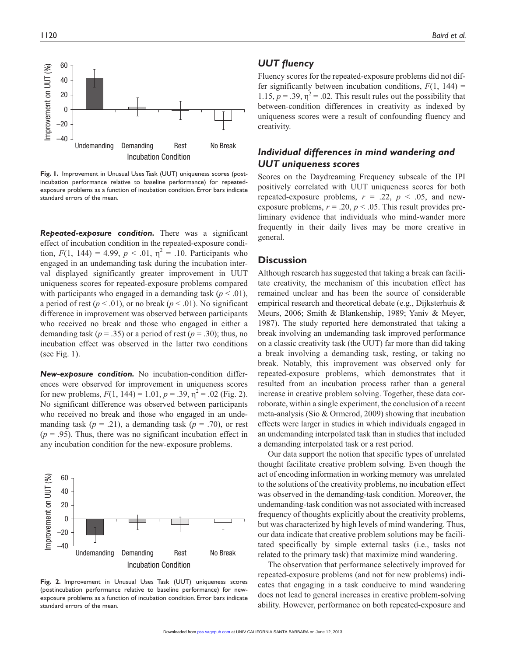

**Fig. 1.** Improvement in Unusual Uses Task (UUT) uniqueness scores (postincubation performance relative to baseline performance) for repeatedexposure problems as a function of incubation condition. Error bars indicate standard errors of the mean.

*Repeated-exposure condition.* There was a significant effect of incubation condition in the repeated-exposure condition,  $F(1, 144) = 4.99$ ,  $p < .01$ ,  $\eta^2 = .10$ . Participants who engaged in an undemanding task during the incubation interval displayed significantly greater improvement in UUT uniqueness scores for repeated-exposure problems compared with participants who engaged in a demanding task  $(p < .01)$ , a period of rest ( $p < .01$ ), or no break ( $p < .01$ ). No significant difference in improvement was observed between participants who received no break and those who engaged in either a demanding task ( $p = .35$ ) or a period of rest ( $p = .30$ ); thus, no incubation effect was observed in the latter two conditions (see Fig. 1).

*New-exposure condition.* No incubation-condition differences were observed for improvement in uniqueness scores for new problems,  $F(1, 144) = 1.01$ ,  $p = .39$ ,  $\eta^2 = .02$  (Fig. 2). No significant difference was observed between participants who received no break and those who engaged in an undemanding task  $(p = .21)$ , a demanding task  $(p = .70)$ , or rest  $(p = .95)$ . Thus, there was no significant incubation effect in any incubation condition for the new-exposure problems.



**Fig. 2.** Improvement in Unusual Uses Task (UUT) uniqueness scores (postincubation performance relative to baseline performance) for newexposure problems as a function of incubation condition. Error bars indicate standard errors of the mean.

#### *UUT fluency*

Fluency scores for the repeated-exposure problems did not differ significantly between incubation conditions,  $F(1, 144) =$ 1.15,  $p = .39$ ,  $\eta^2 = .02$ . This result rules out the possibility that between-condition differences in creativity as indexed by uniqueness scores were a result of confounding fluency and creativity.

## *Individual differences in mind wandering and UUT uniqueness scores*

Scores on the Daydreaming Frequency subscale of the IPI positively correlated with UUT uniqueness scores for both repeated-exposure problems,  $r = .22$ ,  $p < .05$ , and newexposure problems,  $r = .20$ ,  $p < .05$ . This result provides preliminary evidence that individuals who mind-wander more frequently in their daily lives may be more creative in general.

#### **Discussion**

Although research has suggested that taking a break can facilitate creativity, the mechanism of this incubation effect has remained unclear and has been the source of considerable empirical research and theoretical debate (e.g., Dijksterhuis & Meurs, 2006; Smith & Blankenship, 1989; Yaniv & Meyer, 1987). The study reported here demonstrated that taking a break involving an undemanding task improved performance on a classic creativity task (the UUT) far more than did taking a break involving a demanding task, resting, or taking no break. Notably, this improvement was observed only for repeated-exposure problems, which demonstrates that it resulted from an incubation process rather than a general increase in creative problem solving. Together, these data corroborate, within a single experiment, the conclusion of a recent meta-analysis (Sio & Ormerod, 2009) showing that incubation effects were larger in studies in which individuals engaged in an undemanding interpolated task than in studies that included a demanding interpolated task or a rest period.

Our data support the notion that specific types of unrelated thought facilitate creative problem solving. Even though the act of encoding information in working memory was unrelated to the solutions of the creativity problems, no incubation effect was observed in the demanding-task condition. Moreover, the undemanding-task condition was not associated with increased frequency of thoughts explicitly about the creativity problems, but was characterized by high levels of mind wandering. Thus, our data indicate that creative problem solutions may be facilitated specifically by simple external tasks (i.e., tasks not related to the primary task) that maximize mind wandering.

The observation that performance selectively improved for repeated-exposure problems (and not for new problems) indicates that engaging in a task conducive to mind wandering does not lead to general increases in creative problem-solving ability. However, performance on both repeated-exposure and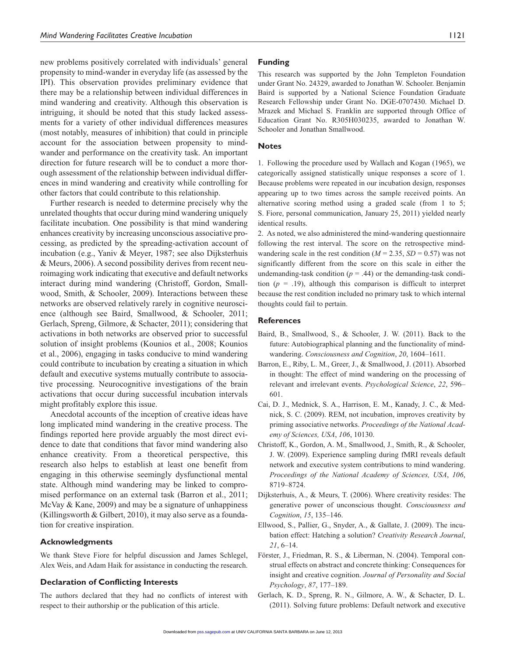new problems positively correlated with individuals' general propensity to mind-wander in everyday life (as assessed by the IPI). This observation provides preliminary evidence that there may be a relationship between individual differences in mind wandering and creativity. Although this observation is intriguing, it should be noted that this study lacked assessments for a variety of other individual differences measures (most notably, measures of inhibition) that could in principle account for the association between propensity to mindwander and performance on the creativity task. An important direction for future research will be to conduct a more thorough assessment of the relationship between individual differences in mind wandering and creativity while controlling for other factors that could contribute to this relationship.

Further research is needed to determine precisely why the unrelated thoughts that occur during mind wandering uniquely facilitate incubation. One possibility is that mind wandering enhances creativity by increasing unconscious associative processing, as predicted by the spreading-activation account of incubation (e.g., Yaniv & Meyer, 1987; see also Dijksterhuis & Meurs, 2006). A second possibility derives from recent neuroimaging work indicating that executive and default networks interact during mind wandering (Christoff, Gordon, Smallwood, Smith, & Schooler, 2009). Interactions between these networks are observed relatively rarely in cognitive neuroscience (although see Baird, Smallwood, & Schooler, 2011; Gerlach, Spreng, Gilmore, & Schacter, 2011); considering that activations in both networks are observed prior to successful solution of insight problems (Kounios et al., 2008; Kounios et al., 2006), engaging in tasks conducive to mind wandering could contribute to incubation by creating a situation in which default and executive systems mutually contribute to associative processing. Neurocognitive investigations of the brain activations that occur during successful incubation intervals might profitably explore this issue.

Anecdotal accounts of the inception of creative ideas have long implicated mind wandering in the creative process. The findings reported here provide arguably the most direct evidence to date that conditions that favor mind wandering also enhance creativity. From a theoretical perspective, this research also helps to establish at least one benefit from engaging in this otherwise seemingly dysfunctional mental state. Although mind wandering may be linked to compromised performance on an external task (Barron et al., 2011; McVay & Kane, 2009) and may be a signature of unhappiness (Killingsworth & Gilbert, 2010), it may also serve as a foundation for creative inspiration.

#### **Acknowledgments**

We thank Steve Fiore for helpful discussion and James Schlegel, Alex Weis, and Adam Haik for assistance in conducting the research.

#### **Declaration of Conflicting Interests**

The authors declared that they had no conflicts of interest with respect to their authorship or the publication of this article.

#### **Funding**

This research was supported by the John Templeton Foundation under Grant No. 24329, awarded to Jonathan W. Schooler. Benjamin Baird is supported by a National Science Foundation Graduate Research Fellowship under Grant No. DGE-0707430. Michael D. Mrazek and Michael S. Franklin are supported through Office of Education Grant No. R305H030235, awarded to Jonathan W. Schooler and Jonathan Smallwood.

#### **Notes**

1. Following the procedure used by Wallach and Kogan (1965), we categorically assigned statistically unique responses a score of 1. Because problems were repeated in our incubation design, responses appearing up to two times across the sample received points. An alternative scoring method using a graded scale (from 1 to 5; S. Fiore, personal communication, January 25, 2011) yielded nearly identical results.

2. As noted, we also administered the mind-wandering questionnaire following the rest interval. The score on the retrospective mindwandering scale in the rest condition  $(M = 2.35, SD = 0.57)$  was not significantly different from the score on this scale in either the undemanding-task condition ( $p = .44$ ) or the demanding-task condition  $(p = .19)$ , although this comparison is difficult to interpret because the rest condition included no primary task to which internal thoughts could fail to pertain.

#### **References**

- Baird, B., Smallwood, S., & Schooler, J. W. (2011). Back to the future: Autobiographical planning and the functionality of mindwandering. *Consciousness and Cognition*, *20*, 1604–1611.
- Barron, E., Riby, L. M., Greer, J., & Smallwood, J. (2011). Absorbed in thought: The effect of mind wandering on the processing of relevant and irrelevant events. *Psychological Science*, *22*, 596– 601.
- Cai, D. J., Mednick, S. A., Harrison, E. M., Kanady, J. C., & Mednick, S. C. (2009). REM, not incubation, improves creativity by priming associative networks. *Proceedings of the National Academy of Sciences, USA*, *106*, 10130.
- Christoff, K., Gordon, A. M., Smallwood, J., Smith, R., & Schooler, J. W. (2009). Experience sampling during fMRI reveals default network and executive system contributions to mind wandering. *Proceedings of the National Academy of Sciences, USA*, *106*, 8719–8724.
- Dijksterhuis, A., & Meurs, T. (2006). Where creativity resides: The generative power of unconscious thought. *Consciousness and Cognition*, *15*, 135–146.
- Ellwood, S., Pallier, G., Snyder, A., & Gallate, J. (2009). The incubation effect: Hatching a solution? *Creativity Research Journal*, *21*, 6–14.
- Förster, J., Friedman, R. S., & Liberman, N. (2004). Temporal construal effects on abstract and concrete thinking: Consequences for insight and creative cognition. *Journal of Personality and Social Psychology*, *87*, 177–189.
- Gerlach, K. D., Spreng, R. N., Gilmore, A. W., & Schacter, D. L. (2011). Solving future problems: Default network and executive